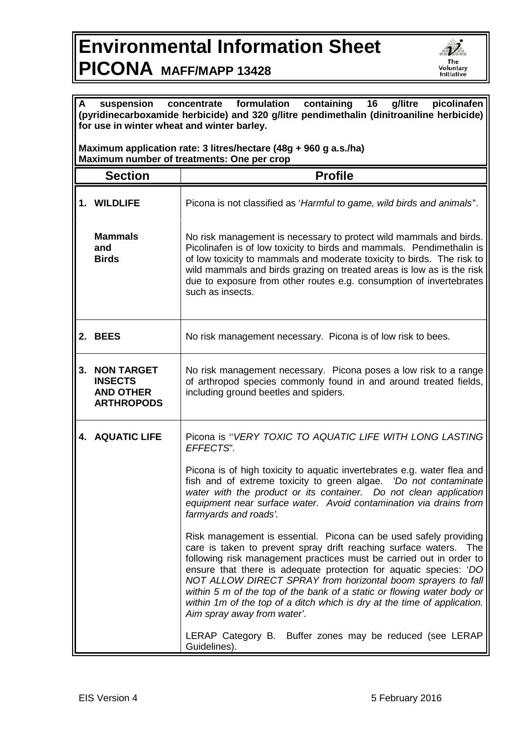## **Environmental Information Sheet PICONA MAFF/MAPP 13428**



| formulation<br>containing<br>16<br>g/litre<br>picolinafen<br>suspension<br>A<br>concentrate<br>(pyridinecarboxamide herbicide) and 320 g/litre pendimethalin (dinitroaniline herbicide)<br>for use in winter wheat and winter barley. |                                                                              |                                                                                                                                                                                                                                                                                                                                                                                                                                                                                                                                         |  |
|---------------------------------------------------------------------------------------------------------------------------------------------------------------------------------------------------------------------------------------|------------------------------------------------------------------------------|-----------------------------------------------------------------------------------------------------------------------------------------------------------------------------------------------------------------------------------------------------------------------------------------------------------------------------------------------------------------------------------------------------------------------------------------------------------------------------------------------------------------------------------------|--|
| Maximum application rate: 3 litres/hectare (48g + 960 g a.s./ha)<br>Maximum number of treatments: One per crop                                                                                                                        |                                                                              |                                                                                                                                                                                                                                                                                                                                                                                                                                                                                                                                         |  |
|                                                                                                                                                                                                                                       | <b>Section</b>                                                               | <b>Profile</b>                                                                                                                                                                                                                                                                                                                                                                                                                                                                                                                          |  |
|                                                                                                                                                                                                                                       | 1. WILDLIFE                                                                  | Picona is not classified as 'Harmful to game, wild birds and animals'.                                                                                                                                                                                                                                                                                                                                                                                                                                                                  |  |
|                                                                                                                                                                                                                                       | <b>Mammals</b><br>and<br><b>Birds</b>                                        | No risk management is necessary to protect wild mammals and birds.<br>Picolinafen is of low toxicity to birds and mammals. Pendimethalin is<br>of low toxicity to mammals and moderate toxicity to birds. The risk to<br>wild mammals and birds grazing on treated areas is low as is the risk<br>due to exposure from other routes e.g. consumption of invertebrates<br>such as insects.                                                                                                                                               |  |
|                                                                                                                                                                                                                                       | 2. BEES                                                                      | No risk management necessary. Picona is of low risk to bees.                                                                                                                                                                                                                                                                                                                                                                                                                                                                            |  |
| 3.                                                                                                                                                                                                                                    | <b>NON TARGET</b><br><b>INSECTS</b><br><b>AND OTHER</b><br><b>ARTHROPODS</b> | No risk management necessary. Picona poses a low risk to a range<br>of arthropod species commonly found in and around treated fields,<br>including ground beetles and spiders.                                                                                                                                                                                                                                                                                                                                                          |  |
|                                                                                                                                                                                                                                       | <b>4. AQUATIC LIFE</b>                                                       | Picona is "VERY TOXIC TO AQUATIC LIFE WITH LONG LASTING<br>EFFECTS".                                                                                                                                                                                                                                                                                                                                                                                                                                                                    |  |
|                                                                                                                                                                                                                                       |                                                                              | Picona is of high toxicity to aquatic invertebrates e.g. water flea and<br>fish and of extreme toxicity to green algae.<br>'Do not contaminate<br>water with the product or its container. Do not clean application<br>equipment near surface water. Avoid contamination via drains from<br>farmyards and roads'.                                                                                                                                                                                                                       |  |
|                                                                                                                                                                                                                                       |                                                                              | Risk management is essential. Picona can be used safely providing<br>care is taken to prevent spray drift reaching surface waters. The<br>following risk management practices must be carried out in order to<br>ensure that there is adequate protection for aquatic species: 'DO<br>NOT ALLOW DIRECT SPRAY from horizontal boom sprayers to fall<br>within 5 m of the top of the bank of a static or flowing water body or<br>within 1m of the top of a ditch which is dry at the time of application.<br>Aim spray away from water'. |  |
|                                                                                                                                                                                                                                       |                                                                              | LERAP Category B. Buffer zones may be reduced (see LERAP<br>Guidelines).                                                                                                                                                                                                                                                                                                                                                                                                                                                                |  |